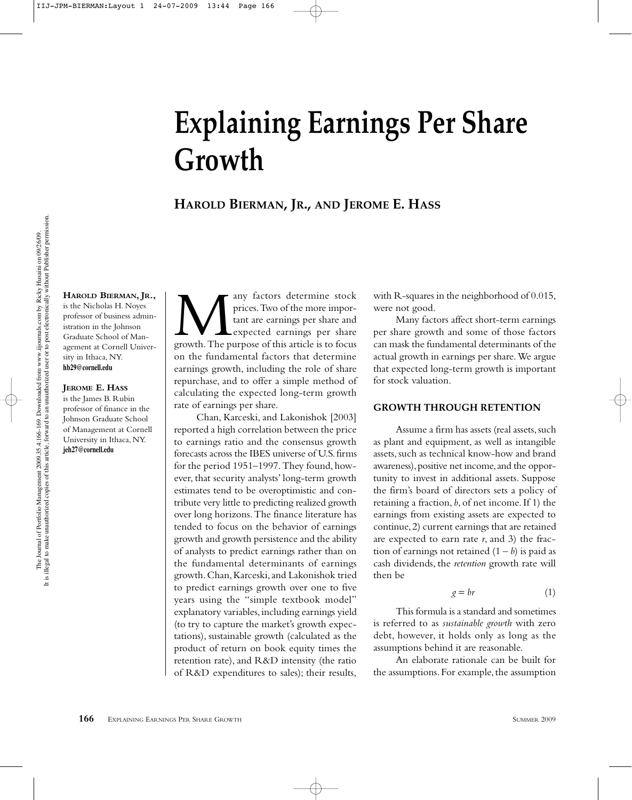# **Explaining Earnings Per Share Growth**

## **HAROLD BIERMAN, JR., AND JEROME E. HASS**

**HAROLD BIERMAN, JR.,** is the Nicholas H. Noyes professor of business administration in the Johnson Graduate School of Management at Cornell University in Ithaca, NY. **hb29@cornell.edu**

#### **JEROME E. HASS**

is the James B. Rubin professor of finance in the Johnson Graduate School of Management at Cornell University in Ithaca, NY. **jeh27@cornell.edu**

Many factors determine stock<br>prices. Two of the more impor-<br>tant are earnings per share and<br>growth. The purpose of this article is to focus prices. Two of the more important are earnings per share and expected earnings per share on the fundamental factors that determine earnings growth, including the role of share repurchase, and to offer a simple method of calculating the expected long-term growth rate of earnings per share.

Chan, Karceski, and Lakonishok [2003] reported a high correlation between the price to earnings ratio and the consensus growth forecasts across the IBES universe of U.S. firms for the period 1951–1997. They found, however, that security analysts' long-term growth estimates tend to be overoptimistic and contribute very little to predicting realized growth over long horizons. The finance literature has tended to focus on the behavior of earnings growth and growth persistence and the ability of analysts to predict earnings rather than on the fundamental determinants of earnings growth. Chan, Karceski, and Lakonishok tried to predict earnings growth over one to five years using the "simple textbook model" explanatory variables, including earnings yield (to try to capture the market's growth expectations), sustainable growth (calculated as the product of return on book equity times the retention rate), and R&D intensity (the ratio of R&D expenditures to sales); their results,

with R-squares in the neighborhood of 0.015, were not good.

Many factors affect short-term earnings per share growth and some of those factors can mask the fundamental determinants of the actual growth in earnings per share. We argue that expected long-term growth is important for stock valuation.

#### **GROWTH THROUGH RETENTION**

Assume a firm has assets (real assets, such as plant and equipment, as well as intangible assets, such as technical know-how and brand awareness), positive net income, and the opportunity to invest in additional assets. Suppose the firm's board of directors sets a policy of retaining a fraction, *b*, of net income. If 1) the earnings from existing assets are expected to continue, 2) current earnings that are retained are expected to earn rate *r*, and 3) the fraction of earnings not retained  $(1 - b)$  is paid as cash dividends, the *retention* growth rate will then be

$$
g = br \tag{1}
$$

This formula is a standard and sometimes is referred to as *sustainable growth* with zero debt, however, it holds only as long as the assumptions behind it are reasonable.

An elaborate rationale can be built for the assumptions. For example, the assumption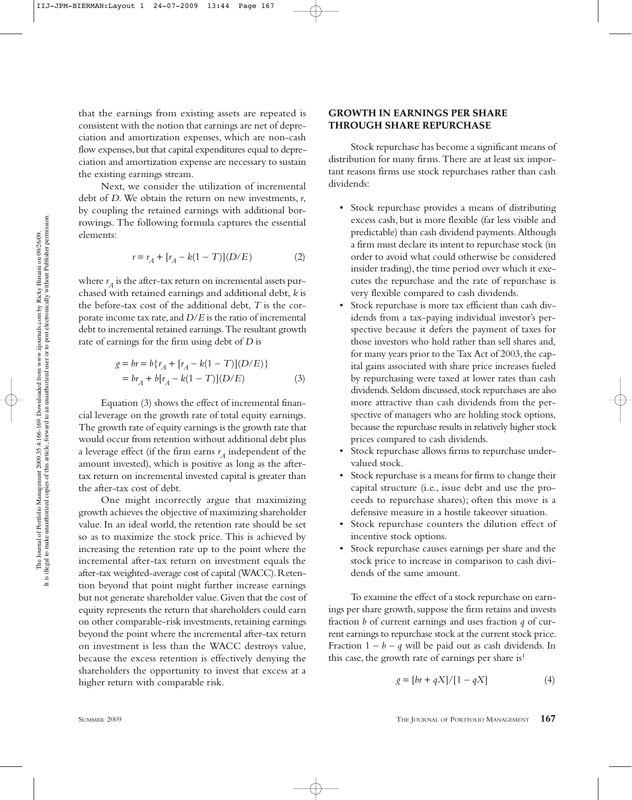that the earnings from existing assets are repeated is consistent with the notion that earnings are net of depreciation and amortization expenses, which are non-cash flow expenses, but that capital expenditures equal to depreciation and amortization expense are necessary to sustain the existing earnings stream.

Next, we consider the utilization of incremental debt of *D*. We obtain the return on new investments, *r*, by coupling the retained earnings with additional borrowings. The following formula captures the essential elements:

$$
r = r_A + [r_A - k(1 - T)](D/E)
$$
 (2)

where  $r_A$  is the after-tax return on incremental assets purchased with retained earnings and additional debt, *k* is the before-tax cost of the additional debt, *T* is the corporate income tax rate, and *D*/*E* is the ratio of incremental debt to incremental retained earnings. The resultant growth rate of earnings for the firm using debt of *D* is

$$
g = br = b\{r_A + [r_A - k(1 - T)](D/E)\}
$$
  
= br<sub>A</sub> + b[r<sub>A</sub> - k(1 - T)](D/E) (3)

Equation (3) shows the effect of incremental financial leverage on the growth rate of total equity earnings. The growth rate of equity earnings is the growth rate that would occur from retention without additional debt plus a leverage effect (if the firm earns  $r_A$  independent of the amount invested), which is positive as long as the aftertax return on incremental invested capital is greater than the after-tax cost of debt.

One might incorrectly argue that maximizing growth achieves the objective of maximizing shareholder value. In an ideal world, the retention rate should be set so as to maximize the stock price. This is achieved by increasing the retention rate up to the point where the incremental after-tax return on investment equals the after-tax weighted-average cost of capital (WACC). Retention beyond that point might further increase earnings but not generate shareholder value. Given that the cost of equity represents the return that shareholders could earn on other comparable-risk investments, retaining earnings beyond the point where the incremental after-tax return on investment is less than the WACC destroys value, because the excess retention is effectively denying the shareholders the opportunity to invest that excess at a higher return with comparable risk.

### **GROWTH IN EARNINGS PER SHARE THROUGH SHARE REPURCHASE**

Stock repurchase has become a significant means of distribution for many firms. There are at least six important reasons firms use stock repurchases rather than cash dividends:

- Stock repurchase provides a means of distributing excess cash, but is more flexible (far less visible and predictable) than cash dividend payments. Although a firm must declare its intent to repurchase stock (in order to avoid what could otherwise be considered insider trading), the time period over which it executes the repurchase and the rate of repurchase is very flexible compared to cash dividends.
- Stock repurchase is more tax efficient than cash dividends from a tax-paying individual investor's perspective because it defers the payment of taxes for those investors who hold rather than sell shares and, for many years prior to the Tax Act of 2003, the capital gains associated with share price increases fueled by repurchasing were taxed at lower rates than cash dividends. Seldom discussed, stock repurchases are also more attractive than cash dividends from the perspective of managers who are holding stock options, because the repurchase results in relatively higher stock prices compared to cash dividends.
- Stock repurchase allows firms to repurchase undervalued stock.
- Stock repurchase is a means for firms to change their capital structure (i.e., issue debt and use the proceeds to repurchase shares); often this move is a defensive measure in a hostile takeover situation.
- Stock repurchase counters the dilution effect of incentive stock options.
- Stock repurchase causes earnings per share and the stock price to increase in comparison to cash dividends of the same amount.

To examine the effect of a stock repurchase on earnings per share growth, suppose the firm retains and invests fraction *b* of current earnings and uses fraction *q* of current earnings to repurchase stock at the current stock price. Fraction  $1 - b - q$  will be paid out as cash dividends. In this case, the growth rate of earnings per share  $is<sup>1</sup>$ 

$$
g = [br + qX]/[1 - qX]
$$
 (4)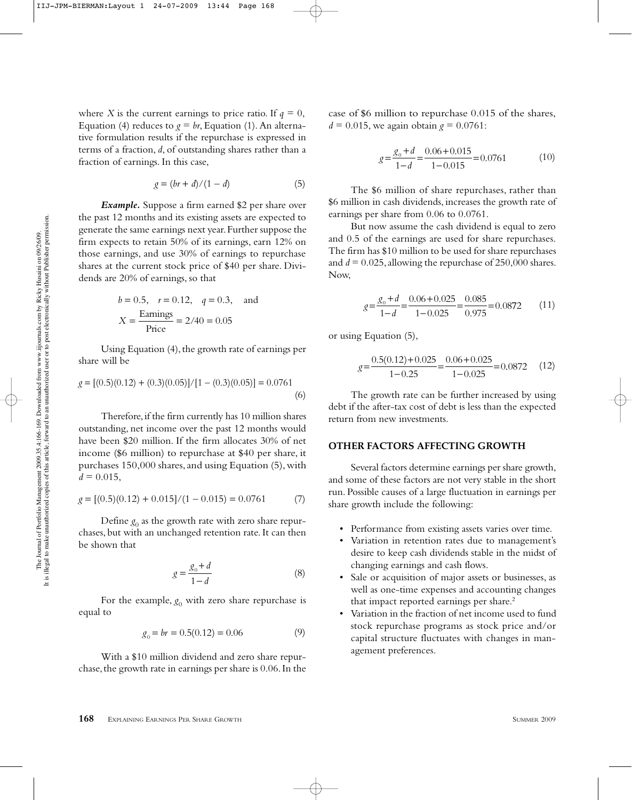where *X* is the current earnings to price ratio. If  $q = 0$ , Equation (4) reduces to  $g = br$ , Equation (1). An alternative formulation results if the repurchase is expressed in terms of a fraction, *d*, of outstanding shares rather than a fraction of earnings. In this case,

$$
g = (br + d)/(1 - d) \tag{5}
$$

*Example.* Suppose a firm earned \$2 per share over the past 12 months and its existing assets are expected to generate the same earnings next year. Further suppose the firm expects to retain 50% of its earnings, earn 12% on those earnings, and use 30% of earnings to repurchase shares at the current stock price of \$40 per share. Dividends are 20% of earnings, so that

$$
b = 0.5
$$
,  $r = 0.12$ ,  $q = 0.3$ , and  
 $X = \frac{\text{Eamings}}{\text{Price}} = 2/40 = 0.05$ 

Using Equation (4), the growth rate of earnings per share will be

$$
g = [(0.5)(0.12) + (0.3)(0.05)]/[1 - (0.3)(0.05)] = 0.0761
$$
\n(6)

Therefore, if the firm currently has 10 million shares outstanding, net income over the past 12 months would have been \$20 million. If the firm allocates 30% of net income (\$6 million) to repurchase at \$40 per share, it purchases 150,000 shares, and using Equation (5), with  $d = 0.015$ ,

$$
g = [(0.5)(0.12) + 0.015] / (1 - 0.015) = 0.0761 \tag{7}
$$

Define  $g_0$  as the growth rate with zero share repurchases, but with an unchanged retention rate. It can then be shown that

$$
g = \frac{g_0 + d}{1 - d} \tag{8}
$$

For the example,  $g_0$  with zero share repurchase is equal to

$$
g_0 = br = 0.5(0.12) = 0.06
$$
 (9)

With a \$10 million dividend and zero share repurchase, the growth rate in earnings per share is 0.06. In the case of \$6 million to repurchase 0.015 of the shares,  $d = 0.015$ , we again obtain  $g = 0.0761$ :

$$
g = \frac{g_0 + d}{1 - d} = \frac{0.06 + 0.015}{1 - 0.015} = 0.0761\tag{10}
$$

The \$6 million of share repurchases, rather than \$6 million in cash dividends, increases the growth rate of earnings per share from 0.06 to 0.0761.

But now assume the cash dividend is equal to zero and 0.5 of the earnings are used for share repurchases. The firm has \$10 million to be used for share repurchases and  $d = 0.025$ , allowing the repurchase of 250,000 shares. Now,

$$
g = \frac{g_0 + d}{1 - d} = \frac{0.06 + 0.025}{1 - 0.025} = \frac{0.085}{0.975} = 0.0872
$$
 (11)

or using Equation (5),

$$
g = \frac{0.5(0.12) + 0.025}{1 - 0.25} = \frac{0.06 + 0.025}{1 - 0.025} = 0.0872
$$
 (12)

The growth rate can be further increased by using debt if the after-tax cost of debt is less than the expected return from new investments.

#### **OTHER FACTORS AFFECTING GROWTH**

Several factors determine earnings per share growth, and some of these factors are not very stable in the short run. Possible causes of a large fluctuation in earnings per share growth include the following:

- Performance from existing assets varies over time.
- Variation in retention rates due to management's desire to keep cash dividends stable in the midst of changing earnings and cash flows.
- Sale or acquisition of major assets or businesses, as well as one-time expenses and accounting changes that impact reported earnings per share.<sup>2</sup>
- Variation in the fraction of net income used to fund stock repurchase programs as stock price and/or capital structure fluctuates with changes in management preferences.